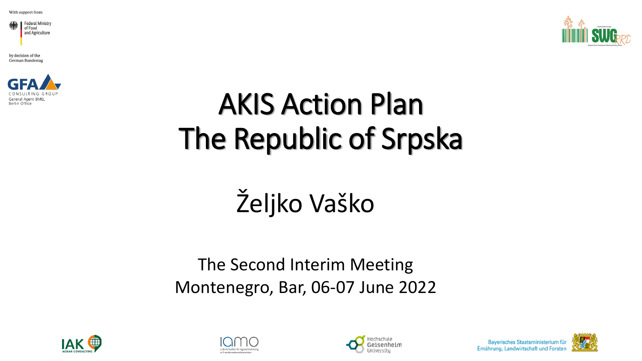



by decision of the German Bundestag



# AKIS Action Plan The Republic of Srpska

# Željko Vaško

### The Second Interim Meeting Montenegro, Bar, 06-07 June 2022







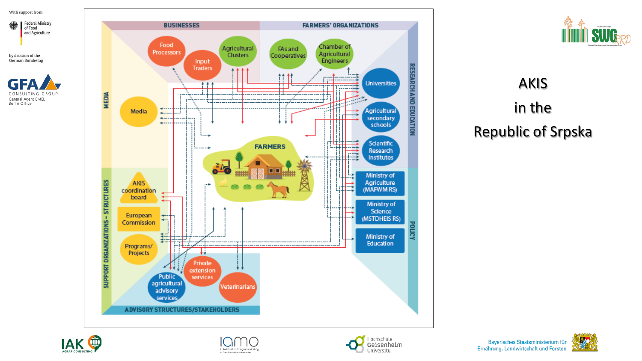

by decision of the German Bundestag





### AKIS in the Republic of Srpska







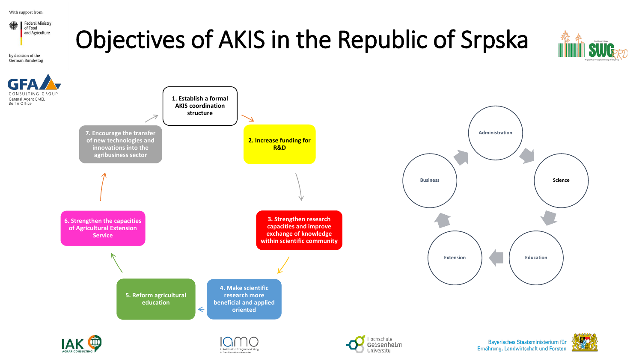

in Transformations ökonomien

University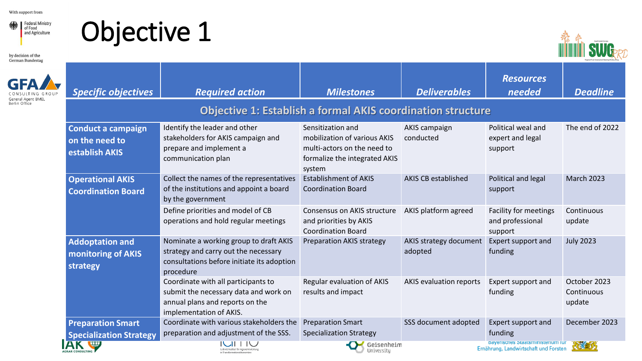Federal Ministry and Agriculture

by decision of the





| <b>German Bundestag</b> |                                                               |                                                                                                                                            |                                                                                                                             |                                   |                                                                           | Regional Rural Development Standing Working Choup |
|-------------------------|---------------------------------------------------------------|--------------------------------------------------------------------------------------------------------------------------------------------|-----------------------------------------------------------------------------------------------------------------------------|-----------------------------------|---------------------------------------------------------------------------|---------------------------------------------------|
|                         | <b>Specific objectives</b>                                    | <b>Required action</b>                                                                                                                     | <b>Milestones</b>                                                                                                           | <b>Deliverables</b>               | <b>Resources</b><br>needed                                                | <b>Deadline</b>                                   |
|                         |                                                               |                                                                                                                                            | <b>Objective 1: Establish a formal AKIS coordination structure</b>                                                          |                                   |                                                                           |                                                   |
|                         | <b>Conduct a campaign</b><br>on the need to<br>establish AKIS | Identify the leader and other<br>stakeholders for AKIS campaign and<br>prepare and implement a<br>communication plan                       | Sensitization and<br>mobilization of various AKIS<br>multi-actors on the need to<br>formalize the integrated AKIS<br>system | <b>AKIS campaign</b><br>conducted | Political weal and<br>expert and legal<br>support                         | The end of 2022                                   |
|                         | <b>Operational AKIS</b><br><b>Coordination Board</b>          | Collect the names of the representatives<br>of the institutions and appoint a board<br>by the government                                   | <b>Establishment of AKIS</b><br><b>Coordination Board</b>                                                                   | <b>AKIS CB established</b>        | Political and legal<br>support                                            | <b>March 2023</b>                                 |
|                         |                                                               | Define priorities and model of CB<br>operations and hold regular meetings                                                                  | Consensus on AKIS structure<br>and priorities by AKIS<br><b>Coordination Board</b>                                          | AKIS platform agreed              | <b>Facility for meetings</b><br>and professional<br>support               | Continuous<br>update                              |
|                         | <b>Addoptation and</b><br>monitoring of AKIS<br>strategy      | Nominate a working group to draft AKIS<br>strategy and carry out the necessary<br>consultations before initiate its adoption<br>procedure  | <b>Preparation AKIS strategy</b>                                                                                            | AKIS strategy document<br>adopted | Expert support and<br>funding                                             | <b>July 2023</b>                                  |
|                         |                                                               | Coordinate with all participants to<br>submit the necessary data and work on<br>annual plans and reports on the<br>implementation of AKIS. | Regular evaluation of AKIS<br>results and impact                                                                            | AKIS evaluation reports           | Expert support and<br>funding                                             | October 2023<br>Continuous<br>update              |
|                         | <b>Preparation Smart</b><br><b>Specialization Strategy</b>    | Coordinate with various stakeholders the<br>preparation and adjustment of the SSS.                                                         | <b>Preparation Smart</b><br><b>Specialization Strategy</b>                                                                  | SSS document adopted              | Expert support and<br>funding                                             | December 2023                                     |
|                         |                                                               | Leibniz-Institut für Agrarentwicklung<br>in Transformationsökonomie                                                                        | Geisenheim<br>University                                                                                                    |                                   | Dayensches Staatsministerium für<br>Ernährung, Landwirtschaft und Forsten | 化性外                                               |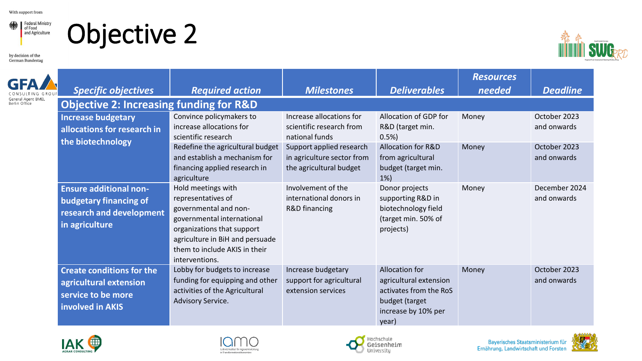



by decision of the German Bundestag



|                                   | <b>Specific objectives</b>                                                                            | <b>Required action</b>                                                                                                                                                                                              | <b>Milestones</b>                                                                 | <b>Deliverables</b>                                                                                                  | <b>Resources</b><br>needed | <b>Deadline</b>              |
|-----------------------------------|-------------------------------------------------------------------------------------------------------|---------------------------------------------------------------------------------------------------------------------------------------------------------------------------------------------------------------------|-----------------------------------------------------------------------------------|----------------------------------------------------------------------------------------------------------------------|----------------------------|------------------------------|
| neral Agent BMEL<br>Berlin Office | <b>Objective 2: Increasing funding for R&amp;D</b>                                                    |                                                                                                                                                                                                                     |                                                                                   |                                                                                                                      |                            |                              |
|                                   | <b>Increase budgetary</b><br>allocations for research in                                              | Convince policymakers to<br>increase allocations for<br>scientific research                                                                                                                                         | Increase allocations for<br>scientific research from<br>national funds            | Allocation of GDP for<br>R&D (target min.<br>0.5%                                                                    | Money                      | October 2023<br>and onwards  |
|                                   | the biotechnology                                                                                     | Redefine the agricultural budget<br>and establish a mechanism for<br>financing applied research in<br>agriculture                                                                                                   | Support applied research<br>in agriculture sector from<br>the agricultural budget | <b>Allocation for R&amp;D</b><br>from agricultural<br>budget (target min.<br>$1\%$                                   | Money                      | October 2023<br>and onwards  |
|                                   | <b>Ensure additional non-</b><br>budgetary financing of<br>research and development<br>in agriculture | Hold meetings with<br>representatives of<br>governmental and non-<br>governmental international<br>organizations that support<br>agriculture in BiH and persuade<br>them to include AKIS in their<br>interventions. | Involvement of the<br>international donors in<br>R&D financing                    | Donor projects<br>supporting R&D in<br>biotechnology field<br>(target min. 50% of<br>projects)                       | Money                      | December 2024<br>and onwards |
|                                   | <b>Create conditions for the</b><br>agricultural extension<br>service to be more<br>involved in AKIS  | Lobby for budgets to increase<br>funding for equipping and other<br>activities of the Agricultural<br>Advisory Service.                                                                                             | Increase budgetary<br>support for agricultural<br>extension services              | Allocation for<br>agricultural extension<br>activates from the RoS<br>budget (target<br>increase by 10% per<br>year) | Money                      | October 2023<br>and onwards  |









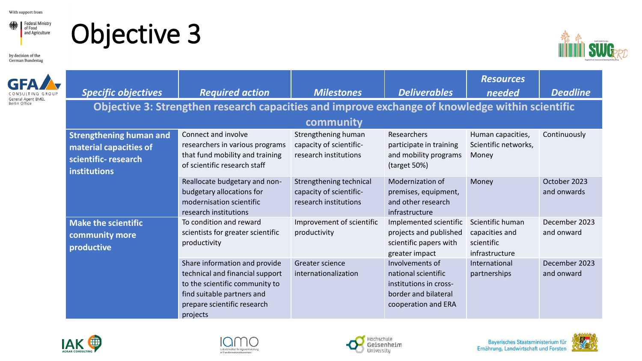Federal Ministry and Agriculture

### Objective 3



**GF** 



|                                     | <b>Specific objectives</b>                                                                             | <b>Required action</b>                                                                                                                                                      | <b>Milestones</b>                                                           | <b>Deliverables</b>                                                                                             | <b>Resources</b><br>needed                                         | <b>Deadline</b>             |
|-------------------------------------|--------------------------------------------------------------------------------------------------------|-----------------------------------------------------------------------------------------------------------------------------------------------------------------------------|-----------------------------------------------------------------------------|-----------------------------------------------------------------------------------------------------------------|--------------------------------------------------------------------|-----------------------------|
| General Agent BMEL<br>Berlin Office |                                                                                                        | Objective 3: Strengthen research capacities and improve exchange of knowledge within scientific                                                                             |                                                                             |                                                                                                                 |                                                                    |                             |
|                                     |                                                                                                        |                                                                                                                                                                             | community                                                                   |                                                                                                                 |                                                                    |                             |
|                                     | <b>Strengthening human and</b><br>material capacities of<br>scientific-research<br><b>institutions</b> | Connect and involve<br>researchers in various programs<br>that fund mobility and training<br>of scientific research staff                                                   | Strengthening human<br>capacity of scientific-<br>research institutions     | Researchers<br>participate in training<br>and mobility programs<br>(target 50%)                                 | Human capacities,<br>Scientific networks,<br>Money                 | Continuously                |
|                                     |                                                                                                        | Reallocate budgetary and non-<br>budgetary allocations for<br>modernisation scientific<br>research institutions                                                             | Strengthening technical<br>capacity of scientific-<br>research institutions | Modernization of<br>premises, equipment,<br>and other research<br>infrastructure                                | Money                                                              | October 2023<br>and onwards |
|                                     | <b>Make the scientific</b><br>community more<br>productive                                             | To condition and reward<br>scientists for greater scientific<br>productivity                                                                                                | Improvement of scientific<br>productivity                                   | Implemented scientific<br>projects and published<br>scientific papers with<br>greater impact                    | Scientific human<br>capacities and<br>scientific<br>infrastructure | December 2023<br>and onward |
|                                     |                                                                                                        | Share information and provide<br>technical and financial support<br>to the scientific community to<br>find suitable partners and<br>prepare scientific research<br>projects | Greater science<br>internationalization                                     | Involvements of<br>national scientific<br>institutions in cross-<br>border and bilateral<br>cooperation and ERA | International<br>partnerships                                      | December 2023<br>and onward |









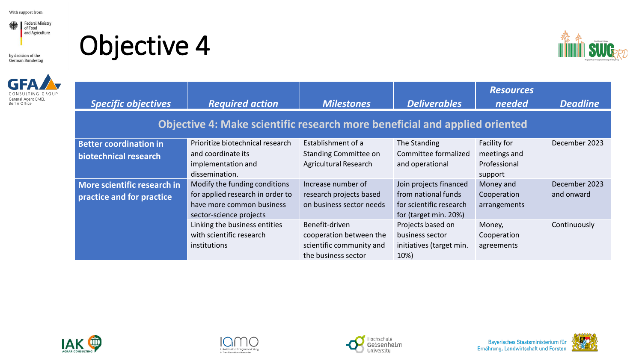

by decision of the German Bundestag



Objective 4



| <b>Specific objectives</b>                                                 | <b>Required action</b>                                                                                                    | <b>Milestones</b>                                                                            | <b>Deliverables</b>                                                                               | <b>Resources</b><br>needed                              | <b>Deadline</b>             |  |  |
|----------------------------------------------------------------------------|---------------------------------------------------------------------------------------------------------------------------|----------------------------------------------------------------------------------------------|---------------------------------------------------------------------------------------------------|---------------------------------------------------------|-----------------------------|--|--|
| Objective 4: Make scientific research more beneficial and applied oriented |                                                                                                                           |                                                                                              |                                                                                                   |                                                         |                             |  |  |
| <b>Better coordination in</b><br>biotechnical research                     | Prioritize biotechnical research<br>and coordinate its<br>implementation and<br>dissemination.                            | Establishment of a<br><b>Standing Committee on</b><br>Agricultural Research                  | The Standing<br>Committee formalized<br>and operational                                           | Facility for<br>meetings and<br>Professional<br>support | December 2023               |  |  |
| More scientific research in<br>practice and for practice                   | Modify the funding conditions<br>for applied research in order to<br>have more common business<br>sector-science projects | Increase number of<br>research projects based<br>on business sector needs                    | Join projects financed<br>from national funds<br>for scientific research<br>for (target min. 20%) | Money and<br>Cooperation<br>arrangements                | December 2023<br>and onward |  |  |
|                                                                            | Linking the business entities<br>with scientific research<br>institutions                                                 | Benefit-driven<br>cooperation between the<br>scientific community and<br>the business sector | Projects based on<br>business sector<br>initiatives (target min.<br>10%)                          | Money,<br>Cooperation<br>agreements                     | Continuously                |  |  |







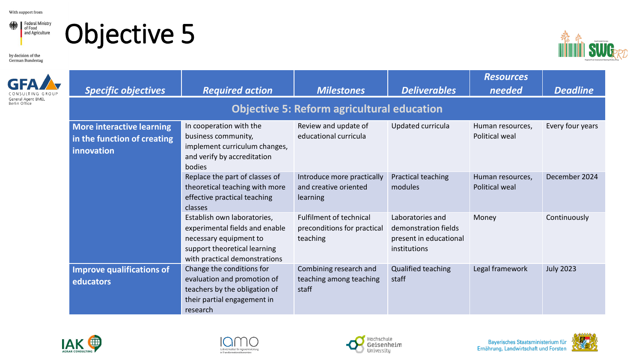

### Objective 5

by decision of the German Bundestag



|               | <b>Specific objectives</b>                                             | <b>Required action</b>                                                                                                                                   | <b>Milestones</b>                                                         | <b>Deliverables</b>                                                                | <b>Resources</b><br>needed                | <b>Deadline</b>  |  |  |  |
|---------------|------------------------------------------------------------------------|----------------------------------------------------------------------------------------------------------------------------------------------------------|---------------------------------------------------------------------------|------------------------------------------------------------------------------------|-------------------------------------------|------------------|--|--|--|
| Berlin Office |                                                                        | <b>Objective 5: Reform agricultural education</b>                                                                                                        |                                                                           |                                                                                    |                                           |                  |  |  |  |
|               | More interactive learning<br>in the function of creating<br>innovation | In cooperation with the<br>business community,<br>implement curriculum changes,<br>and verify by accreditation<br>bodies                                 | Review and update of<br>educational curricula                             | Updated curricula                                                                  | Human resources,<br>Political weal        | Every four years |  |  |  |
|               |                                                                        | Replace the part of classes of<br>theoretical teaching with more<br>effective practical teaching<br>classes                                              | Introduce more practically<br>and creative oriented<br>learning           | Practical teaching<br>modules                                                      | Human resources,<br><b>Political weal</b> | December 2024    |  |  |  |
|               |                                                                        | Establish own laboratories,<br>experimental fields and enable<br>necessary equipment to<br>support theoretical learning<br>with practical demonstrations | <b>Fulfilment of technical</b><br>preconditions for practical<br>teaching | Laboratories and<br>demonstration fields<br>present in educational<br>institutions | Money                                     | Continuously     |  |  |  |
|               | <b>Improve qualifications of</b><br>educators                          | Change the conditions for<br>evaluation and promotion of<br>teachers by the obligation of<br>their partial engagement in<br>research                     | Combining research and<br>teaching among teaching<br>staff                | Qualified teaching<br>staff                                                        | Legal framework                           | <b>July 2023</b> |  |  |  |







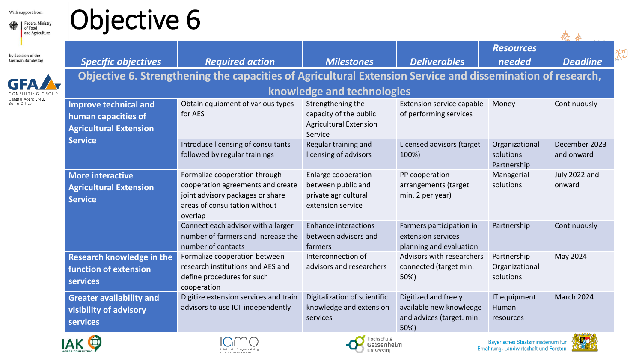

## Objective 6

by decision of the German Bundestag



|                                  |                                                                                                            |                                               |                                    | <b>Resources</b>                           |                             |
|----------------------------------|------------------------------------------------------------------------------------------------------------|-----------------------------------------------|------------------------------------|--------------------------------------------|-----------------------------|
| <b>Specific objectives</b>       | <b>Required action</b>                                                                                     | <b>Milestones</b>                             | <b>Deliverables</b>                | needed                                     | <b>Deadline</b>             |
|                                  | Objective 6. Strengthening the capacities of Agricultural Extension Service and dissemination of research, |                                               |                                    |                                            |                             |
|                                  |                                                                                                            | knowledge and technologies                    |                                    |                                            |                             |
| <b>Improve technical and</b>     | Obtain equipment of various types                                                                          | Strengthening the                             | Extension service capable          | Money                                      | Continuously                |
| human capacities of              | for AES                                                                                                    | capacity of the public                        | of performing services             |                                            |                             |
| <b>Agricultural Extension</b>    |                                                                                                            | <b>Agricultural Extension</b><br>Service      |                                    |                                            |                             |
| <b>Service</b>                   | Introduce licensing of consultants<br>followed by regular trainings                                        | Regular training and<br>licensing of advisors | Licensed advisors (target<br>100%) | Organizational<br>solutions<br>Partnership | December 2023<br>and onward |
| <b>More interactive</b>          | Formalize cooperation through                                                                              | Enlarge cooperation                           | PP cooperation                     | Managerial                                 | July 2022 and               |
| <b>Agricultural Extension</b>    | cooperation agreements and create                                                                          | between public and                            | arrangements (target               | solutions                                  | onward                      |
| <b>Service</b>                   | joint advisory packages or share                                                                           | private agricultural                          | min. 2 per year)                   |                                            |                             |
|                                  | areas of consultation without<br>overlap                                                                   | extension service                             |                                    |                                            |                             |
|                                  | Connect each advisor with a larger                                                                         | <b>Enhance interactions</b>                   | Farmers participation in           | Partnership                                | Continuously                |
|                                  | number of farmers and increase the                                                                         | between advisors and                          | extension services                 |                                            |                             |
|                                  | number of contacts                                                                                         | farmers                                       | planning and evaluation            |                                            |                             |
| <b>Research knowledge in the</b> | Formalize cooperation between                                                                              | Interconnection of                            | Advisors with researchers          | Partnership                                | May 2024                    |
| function of extension            | research institutions and AES and                                                                          | advisors and researchers                      | connected (target min.             | Organizational                             |                             |
| services                         | define procedures for such<br>cooperation                                                                  |                                               | 50%)                               | solutions                                  |                             |
| <b>Greater availability and</b>  | Digitize extension services and train                                                                      | Digitalization of scientific                  | Digitized and freely               | IT equipment                               | March 2024                  |
| visibility of advisory           | advisors to use ICT independently                                                                          | knowledge and extension                       | available new knowledge            | Human                                      |                             |
| <b>services</b>                  |                                                                                                            | services                                      | and advices (target. min.<br>50%)  | resources                                  |                             |
|                                  |                                                                                                            |                                               |                                    |                                            | <u>കശ്രദ്ധേശ</u>            |







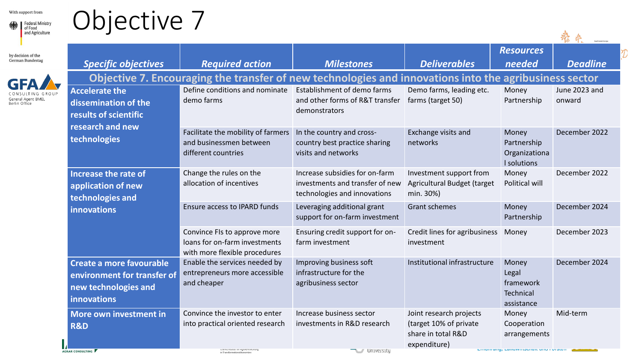by decision of the<br>German Bundestag

GFA

CONSULTING GROU General Agent BMEL<br>Berlin Office



### Objective 7

| — — — — — —                                                                                                |                                                                                                        |                                                                                                   |                                                                                         |                                                        |                         |
|------------------------------------------------------------------------------------------------------------|--------------------------------------------------------------------------------------------------------|---------------------------------------------------------------------------------------------------|-----------------------------------------------------------------------------------------|--------------------------------------------------------|-------------------------|
| <b>Specific objectives</b>                                                                                 | <b>Required action</b>                                                                                 | <b>Milestones</b>                                                                                 | <b>Deliverables</b>                                                                     | <b>Resources</b><br>needed                             | <b>Deadline</b>         |
|                                                                                                            | Objective 7. Encouraging the transfer of new technologies and innovations into the agribusiness sector |                                                                                                   |                                                                                         |                                                        |                         |
| <b>Accelerate the</b><br>dissemination of the<br>results of scientific<br>research and new<br>technologies | Define conditions and nominate<br>demo farms                                                           | Establishment of demo farms<br>and other forms of R&T transfer<br>demonstrators                   | Demo farms, leading etc.<br>farms (target 50)                                           | Money<br>Partnership                                   | June 2023 and<br>onward |
|                                                                                                            | Facilitate the mobility of farmers<br>and businessmen between<br>different countries                   | In the country and cross-<br>country best practice sharing<br>visits and networks                 | Exchange visits and<br>networks                                                         | Money<br>Partnership<br>Organizationa<br>I solutions   | December 2022           |
| <b>Increase the rate of</b><br>application of new<br>technologies and                                      | Change the rules on the<br>allocation of incentives                                                    | Increase subsidies for on-farm<br>investments and transfer of new<br>technologies and innovations | Investment support from<br>Agricultural Budget (target<br>min. 30%)                     | Money<br>Political will                                | December 2022           |
| <b>innovations</b>                                                                                         | Ensure access to IPARD funds                                                                           | Leveraging additional grant<br>support for on-farm investment                                     | <b>Grant schemes</b>                                                                    | Money<br>Partnership                                   | December 2024           |
|                                                                                                            | Convince FIs to approve more<br>loans for on-farm investments<br>with more flexible procedures         | Ensuring credit support for on-<br>farm investment                                                | Credit lines for agribusiness<br>investment                                             | Money                                                  | December 2023           |
| Create a more favourable<br>environment for transfer of<br>new technologies and<br><b>innovations</b>      | Enable the services needed by<br>entrepreneurs more accessible<br>and cheaper                          | Improving business soft<br>infrastructure for the<br>agribusiness sector                          | Institutional infrastructure                                                            | Money<br>Legal<br>framework<br>Technical<br>assistance | December 2024           |
| More own investment in<br><b>R&amp;D</b><br>T                                                              | Convince the investor to enter<br>into practical oriented research                                     | Increase business sector<br>investments in R&D research<br><b>WELL AND MANUFACTION</b>            | Joint research projects<br>(target 10% of private<br>share in total R&D<br>expenditure) | Money<br>Cooperation<br>arrangements                   | Mid-term                |

AGRAR CONSULTING

ceipinz mautur for egrarementuurig.<br>In Transformationsökonomien

 $\mathcal{D}% _{M_{1},M_{2}}^{\alpha,\beta}(\varepsilon)$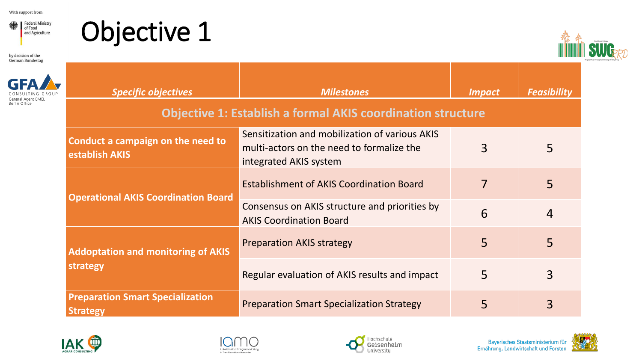Federal Ministry and Agriculture

by decision of the German Bundestag





|               | <b>Specific objectives</b>                                         | <b>Milestones</b>                                                                                                     | <b>Impact</b> | <b>Feasibility</b> |  |  |  |
|---------------|--------------------------------------------------------------------|-----------------------------------------------------------------------------------------------------------------------|---------------|--------------------|--|--|--|
| Berlin Office | <b>Objective 1: Establish a formal AKIS coordination structure</b> |                                                                                                                       |               |                    |  |  |  |
|               | Conduct a campaign on the need to<br><b>establish AKIS</b>         | Sensitization and mobilization of various AKIS<br>multi-actors on the need to formalize the<br>integrated AKIS system | 3             | 5                  |  |  |  |
|               | <b>Operational AKIS Coordination Board</b>                         | <b>Establishment of AKIS Coordination Board</b>                                                                       |               | 5                  |  |  |  |
|               |                                                                    | Consensus on AKIS structure and priorities by<br><b>AKIS Coordination Board</b>                                       | 6             | $\overline{4}$     |  |  |  |
|               | <b>Addoptation and monitoring of AKIS</b>                          | <b>Preparation AKIS strategy</b>                                                                                      | 5             | 5                  |  |  |  |
|               | strategy                                                           | Regular evaluation of AKIS results and impact                                                                         | 5             | 3                  |  |  |  |
|               | <b>Preparation Smart Specialization</b><br><b>Strategy</b>         | <b>Preparation Smart Specialization Strategy</b>                                                                      | 5             | 3                  |  |  |  |







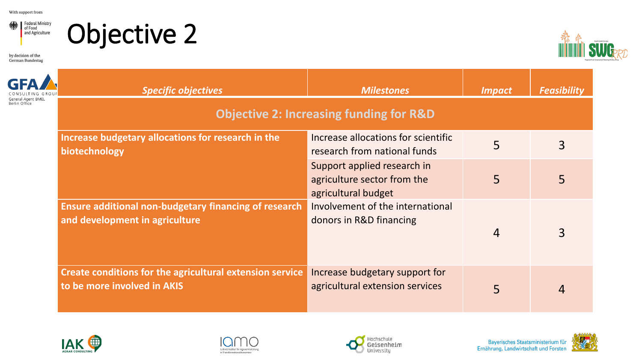

### Objective 2

by decision of the German Bundestag



| eral Agent RMEL<br>Rerlin Office | <b>Specific objectives</b>                                                              | <b>Milestones</b><br><b>Objective 2: Increasing funding for R&amp;D</b>           | <b>Impact</b>  | <b>Feasibility</b> |
|----------------------------------|-----------------------------------------------------------------------------------------|-----------------------------------------------------------------------------------|----------------|--------------------|
|                                  | Increase budgetary allocations for research in the<br>biotechnology                     | Increase allocations for scientific<br>research from national funds               | 5              | 3                  |
|                                  |                                                                                         | Support applied research in<br>agriculture sector from the<br>agricultural budget | 5              | 5                  |
|                                  | Ensure additional non-budgetary financing of research<br>and development in agriculture | Involvement of the international<br>donors in R&D financing                       | $\overline{4}$ | $\overline{3}$     |
|                                  | Create conditions for the agricultural extension service<br>to be more involved in AKIS | Increase budgetary support for<br>agricultural extension services                 | 5              | $\overline{4}$     |









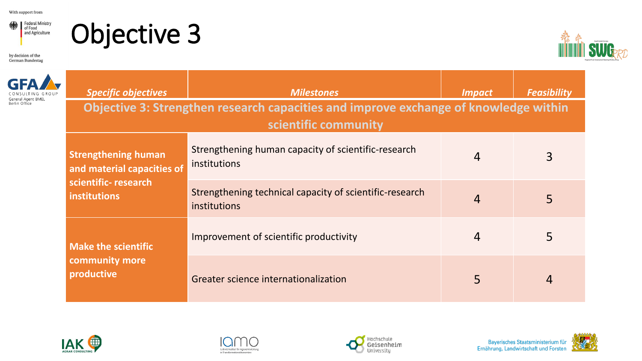Federal Ministry and Agriculture

### Objective 3

by decision of the  $\,$ German Bundestag



|                                     | <b>Specific objectives</b>                                                                                   | <b>Milestones</b>                                                              | <i><b>Impact</b></i> | <b>Feasibility</b> |  |  |  |
|-------------------------------------|--------------------------------------------------------------------------------------------------------------|--------------------------------------------------------------------------------|----------------------|--------------------|--|--|--|
| General Agent BMEL<br>Berlin Office | Objective 3: Strengthen research capacities and improve exchange of knowledge within<br>scientific community |                                                                                |                      |                    |  |  |  |
|                                     | <b>Strengthening human</b><br>and material capacities of                                                     | Strengthening human capacity of scientific-research<br>institutions            | 4                    | 3                  |  |  |  |
|                                     | scientific-research<br><b>institutions</b>                                                                   | Strengthening technical capacity of scientific-research<br><i>institutions</i> | 4                    | 5                  |  |  |  |
|                                     | <b>Make the scientific</b><br>community more<br>productive                                                   | Improvement of scientific productivity                                         | 4                    | 5                  |  |  |  |
|                                     |                                                                                                              | Greater science internationalization                                           | 5                    | 4                  |  |  |  |







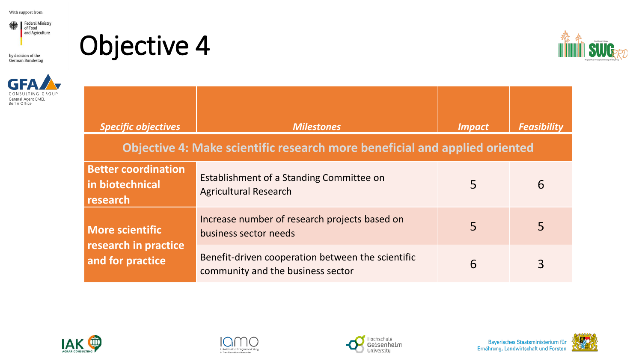

by decision of the German Bundestag



Objective 4



| <b>Specific objectives</b>                                                 | <b>Milestones</b>                                                                      | <i><b>Impact</b></i> | <b>Feasibility</b> |  |  |  |  |
|----------------------------------------------------------------------------|----------------------------------------------------------------------------------------|----------------------|--------------------|--|--|--|--|
| Objective 4: Make scientific research more beneficial and applied oriented |                                                                                        |                      |                    |  |  |  |  |
| <b>Better coordination</b><br>in biotechnical<br>research                  | Establishment of a Standing Committee on<br><b>Agricultural Research</b>               | 5                    | 6                  |  |  |  |  |
| <b>More scientific</b>                                                     | Increase number of research projects based on<br>business sector needs                 | 5                    | 5                  |  |  |  |  |
| research in practice<br>and for practice                                   | Benefit-driven cooperation between the scientific<br>community and the business sector | 6                    |                    |  |  |  |  |









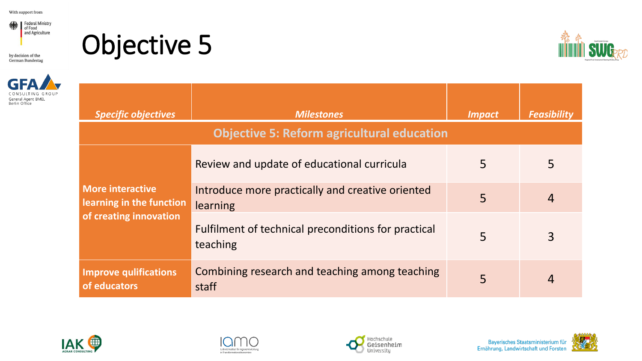

by decision of the German Bundestag



**Objective 5** 



| <b>Specific objectives</b>                          | <b>Milestones</b>                                               | <b>Impact</b> | <b>Feasibility</b> |
|-----------------------------------------------------|-----------------------------------------------------------------|---------------|--------------------|
|                                                     | <b>Objective 5: Reform agricultural education</b>               |               |                    |
|                                                     | Review and update of educational curricula                      | 5             | 5                  |
| <b>More interactive</b><br>learning in the function | Introduce more practically and creative oriented<br>learning    | 5             | $\overline{4}$     |
| of creating innovation                              | Fulfilment of technical preconditions for practical<br>teaching | 5             | 3                  |
| <b>Improve qulifications</b><br>of educators        | Combining research and teaching among teaching<br>staff         | 5             |                    |









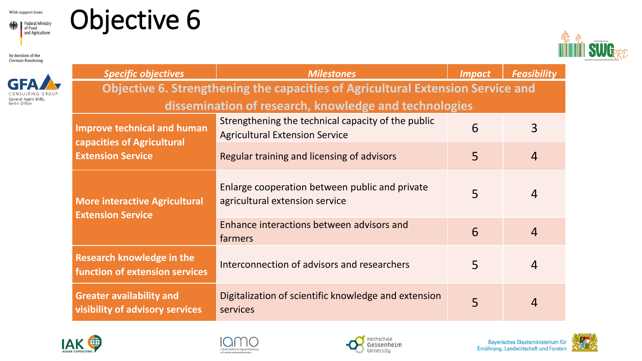

### Objective 6

by decision of the German Bundestag



| <b>Specific objectives</b>                                                                   | <b>Milestones</b>                                                                           | <i><b>Impact</b></i> | <b>Feasibility</b> |  |  |  |  |
|----------------------------------------------------------------------------------------------|---------------------------------------------------------------------------------------------|----------------------|--------------------|--|--|--|--|
| <b>Objective 6. Strengthening the capacities of Agricultural Extension Service and</b>       |                                                                                             |                      |                    |  |  |  |  |
| dissemination of research, knowledge and technologies                                        |                                                                                             |                      |                    |  |  |  |  |
| <b>Improve technical and human</b><br>capacities of Agricultural<br><b>Extension Service</b> | Strengthening the technical capacity of the public<br><b>Agricultural Extension Service</b> | 6                    | $\overline{3}$     |  |  |  |  |
|                                                                                              | Regular training and licensing of advisors                                                  | 5                    | $\overline{4}$     |  |  |  |  |
| <b>More interactive Agricultural</b><br><b>Extension Service</b>                             | Enlarge cooperation between public and private<br>agricultural extension service            | 5                    | $\overline{4}$     |  |  |  |  |
|                                                                                              | Enhance interactions between advisors and<br><b>farmers</b>                                 | 6                    | $\overline{4}$     |  |  |  |  |
| <b>Research knowledge in the</b><br><b>function of extension services</b>                    | Interconnection of advisors and researchers                                                 | 5                    | $\overline{4}$     |  |  |  |  |
| <b>Greater availability and</b><br>visibility of advisory services                           | Digitalization of scientific knowledge and extension<br>services                            |                      | 4                  |  |  |  |  |









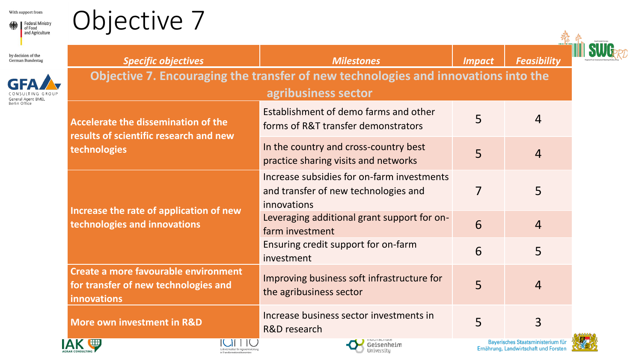



| and Agriculture                        |                                                                                                           |                                                                                                   |               |                                          |  |  |  |
|----------------------------------------|-----------------------------------------------------------------------------------------------------------|---------------------------------------------------------------------------------------------------|---------------|------------------------------------------|--|--|--|
| by decision of the<br>German Bundestag | <b>Specific objectives</b>                                                                                | <b>Milestones</b>                                                                                 | <b>Impact</b> | <b>Feasibility</b>                       |  |  |  |
| Berlin Office                          | Objective 7. Encouraging the transfer of new technologies and innovations into the<br>agribusiness sector |                                                                                                   |               |                                          |  |  |  |
|                                        | Accelerate the dissemination of the<br>results of scientific research and new<br>technologies             | Establishment of demo farms and other<br>forms of R&T transfer demonstrators                      | 5             | $\overline{4}$                           |  |  |  |
|                                        |                                                                                                           | In the country and cross-country best<br>practice sharing visits and networks                     | 5             | $\overline{4}$                           |  |  |  |
|                                        | Increase the rate of application of new<br>technologies and innovations                                   | Increase subsidies for on-farm investments<br>and transfer of new technologies and<br>innovations | 7             | 5                                        |  |  |  |
|                                        |                                                                                                           | Leveraging additional grant support for on-<br>farm investment                                    | 6             | $\overline{4}$                           |  |  |  |
|                                        |                                                                                                           | Ensuring credit support for on-farm<br>investment                                                 | 6             | 5                                        |  |  |  |
|                                        | Create a more favourable environment<br>for transfer of new technologies and<br>innovations               | Improving business soft infrastructure for<br>the agribusiness sector                             | 5             | $\overline{4}$                           |  |  |  |
|                                        | More own investment in R&D                                                                                | Increase business sector investments in<br>R&D research                                           | 5             | $\overline{3}$                           |  |  |  |
|                                        | $\blacksquare$<br>IC $\mathcal{M}$ if $\mathcal{M}$                                                       | <b>THE MANUFACTURE</b>                                                                            |               | <b>Baverisches Staatsministerium für</b> |  |  |  |



South Eastern Euro







**DayerIscries Staat** Ernährung, Landwirtschaft und Forsten